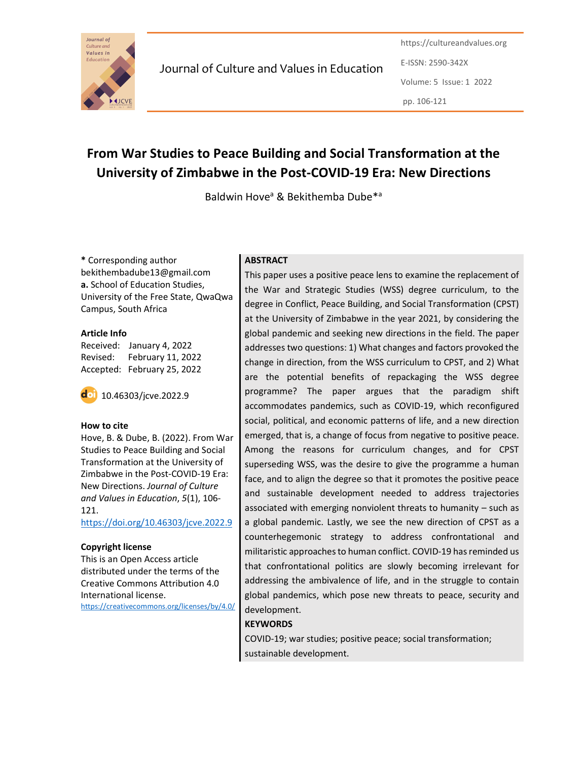

Journal of Culture and Values in Education

https://cultureandvalues.org E-ISSN: 2590-342X Volume: 5 Issue: 1 2022 pp. 106-121

# From War Studies to Peace Building and Social Transformation at the University of Zimbabwe in the Post-COVID-19 Era: New Directions

Baldwin Hove<sup>a</sup> & Bekithemba Dube<sup>\*a</sup>

\* Corresponding author bekithembadube13@gmail.com a. School of Education Studies, University of the Free State, QwaQwa Campus, South Africa

#### Article Info

Received: January 4, 2022 Revised: February 11, 2022 Accepted: February 25, 2022



#### How to cite

Hove, B. & Dube, B. (2022). From War Studies to Peace Building and Social Transformation at the University of Zimbabwe in the Post-COVID-19 Era: New Directions. Journal of Culture and Values in Education, 5(1), 106- 121.

https://doi.org/10.46303/jcve.2022.9

#### Copyright license

This is an Open Access article distributed under the terms of the Creative Commons Attribution 4.0 International license. https://creativecommons.org/licenses/by/4.0/

## **ABSTRACT**

This paper uses a positive peace lens to examine the replacement of the War and Strategic Studies (WSS) degree curriculum, to the degree in Conflict, Peace Building, and Social Transformation (CPST) at the University of Zimbabwe in the year 2021, by considering the global pandemic and seeking new directions in the field. The paper addresses two questions: 1) What changes and factors provoked the change in direction, from the WSS curriculum to CPST, and 2) What are the potential benefits of repackaging the WSS degree programme? The paper argues that the paradigm shift accommodates pandemics, such as COVID-19, which reconfigured social, political, and economic patterns of life, and a new direction emerged, that is, a change of focus from negative to positive peace. Among the reasons for curriculum changes, and for CPST superseding WSS, was the desire to give the programme a human face, and to align the degree so that it promotes the positive peace and sustainable development needed to address trajectories associated with emerging nonviolent threats to humanity – such as a global pandemic. Lastly, we see the new direction of CPST as a counterhegemonic strategy to address confrontational and militaristic approaches to human conflict. COVID-19 has reminded us that confrontational politics are slowly becoming irrelevant for addressing the ambivalence of life, and in the struggle to contain global pandemics, which pose new threats to peace, security and development.

#### **KEYWORDS**

COVID-19; war studies; positive peace; social transformation; sustainable development.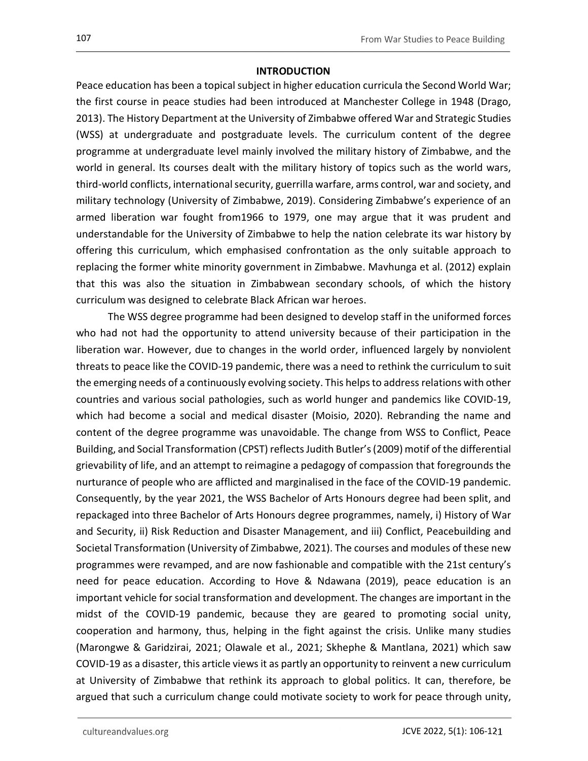### **INTRODUCTION**

Peace education has been a topical subject in higher education curricula the Second World War; the first course in peace studies had been introduced at Manchester College in 1948 (Drago, 2013). The History Department at the University of Zimbabwe offered War and Strategic Studies (WSS) at undergraduate and postgraduate levels. The curriculum content of the degree programme at undergraduate level mainly involved the military history of Zimbabwe, and the world in general. Its courses dealt with the military history of topics such as the world wars, third-world conflicts, international security, guerrilla warfare, arms control, war and society, and military technology (University of Zimbabwe, 2019). Considering Zimbabwe's experience of an armed liberation war fought from1966 to 1979, one may argue that it was prudent and understandable for the University of Zimbabwe to help the nation celebrate its war history by offering this curriculum, which emphasised confrontation as the only suitable approach to replacing the former white minority government in Zimbabwe. Mavhunga et al. (2012) explain that this was also the situation in Zimbabwean secondary schools, of which the history curriculum was designed to celebrate Black African war heroes.

The WSS degree programme had been designed to develop staff in the uniformed forces who had not had the opportunity to attend university because of their participation in the liberation war. However, due to changes in the world order, influenced largely by nonviolent threats to peace like the COVID-19 pandemic, there was a need to rethink the curriculum to suit the emerging needs of a continuously evolving society. This helps to address relations with other countries and various social pathologies, such as world hunger and pandemics like COVID-19, which had become a social and medical disaster (Moisio, 2020). Rebranding the name and content of the degree programme was unavoidable. The change from WSS to Conflict, Peace Building, and Social Transformation (CPST) reflects Judith Butler's (2009) motif of the differential grievability of life, and an attempt to reimagine a pedagogy of compassion that foregrounds the nurturance of people who are afflicted and marginalised in the face of the COVID-19 pandemic. Consequently, by the year 2021, the WSS Bachelor of Arts Honours degree had been split, and repackaged into three Bachelor of Arts Honours degree programmes, namely, i) History of War and Security, ii) Risk Reduction and Disaster Management, and iii) Conflict, Peacebuilding and Societal Transformation (University of Zimbabwe, 2021). The courses and modules of these new programmes were revamped, and are now fashionable and compatible with the 21st century's need for peace education. According to Hove & Ndawana (2019), peace education is an important vehicle for social transformation and development. The changes are important in the midst of the COVID-19 pandemic, because they are geared to promoting social unity, cooperation and harmony, thus, helping in the fight against the crisis. Unlike many studies (Marongwe & Garidzirai, 2021; Olawale et al., 2021; Skhephe & Mantlana, 2021) which saw COVID-19 as a disaster, this article views it as partly an opportunity to reinvent a new curriculum at University of Zimbabwe that rethink its approach to global politics. It can, therefore, be argued that such a curriculum change could motivate society to work for peace through unity,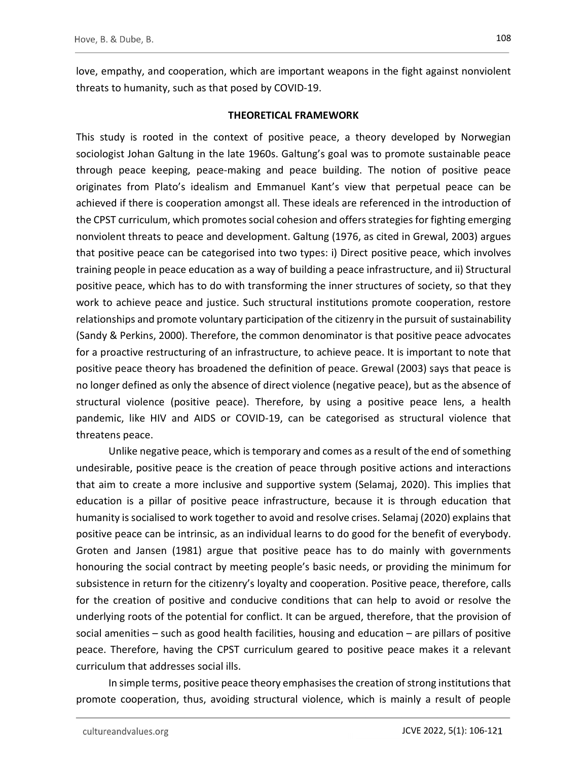love, empathy, and cooperation, which are important weapons in the fight against nonviolent threats to humanity, such as that posed by COVID-19.

## THEORETICAL FRAMEWORK

This study is rooted in the context of positive peace, a theory developed by Norwegian sociologist Johan Galtung in the late 1960s. Galtung's goal was to promote sustainable peace through peace keeping, peace-making and peace building. The notion of positive peace originates from Plato's idealism and Emmanuel Kant's view that perpetual peace can be achieved if there is cooperation amongst all. These ideals are referenced in the introduction of the CPST curriculum, which promotes social cohesion and offers strategies for fighting emerging nonviolent threats to peace and development. Galtung (1976, as cited in Grewal, 2003) argues that positive peace can be categorised into two types: i) Direct positive peace, which involves training people in peace education as a way of building a peace infrastructure, and ii) Structural positive peace, which has to do with transforming the inner structures of society, so that they work to achieve peace and justice. Such structural institutions promote cooperation, restore relationships and promote voluntary participation of the citizenry in the pursuit of sustainability (Sandy & Perkins, 2000). Therefore, the common denominator is that positive peace advocates for a proactive restructuring of an infrastructure, to achieve peace. It is important to note that positive peace theory has broadened the definition of peace. Grewal (2003) says that peace is no longer defined as only the absence of direct violence (negative peace), but as the absence of structural violence (positive peace). Therefore, by using a positive peace lens, a health pandemic, like HIV and AIDS or COVID-19, can be categorised as structural violence that threatens peace.

Unlike negative peace, which is temporary and comes as a result of the end of something undesirable, positive peace is the creation of peace through positive actions and interactions that aim to create a more inclusive and supportive system (Selamaj, 2020). This implies that education is a pillar of positive peace infrastructure, because it is through education that humanity is socialised to work together to avoid and resolve crises. Selamaj (2020) explains that positive peace can be intrinsic, as an individual learns to do good for the benefit of everybody. Groten and Jansen (1981) argue that positive peace has to do mainly with governments honouring the social contract by meeting people's basic needs, or providing the minimum for subsistence in return for the citizenry's loyalty and cooperation. Positive peace, therefore, calls for the creation of positive and conducive conditions that can help to avoid or resolve the underlying roots of the potential for conflict. It can be argued, therefore, that the provision of social amenities – such as good health facilities, housing and education – are pillars of positive peace. Therefore, having the CPST curriculum geared to positive peace makes it a relevant curriculum that addresses social ills.

In simple terms, positive peace theory emphasises the creation of strong institutions that promote cooperation, thus, avoiding structural violence, which is mainly a result of people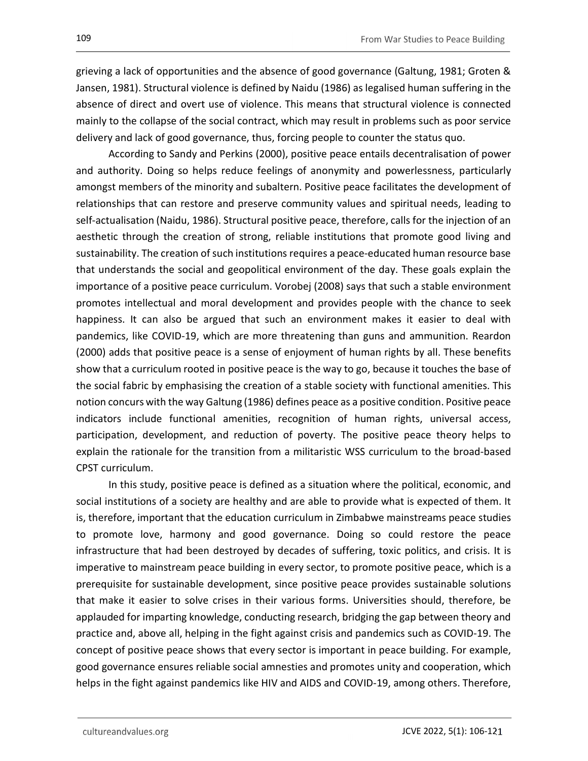grieving a lack of opportunities and the absence of good governance (Galtung, 1981; Groten & Jansen, 1981). Structural violence is defined by Naidu (1986) as legalised human suffering in the absence of direct and overt use of violence. This means that structural violence is connected mainly to the collapse of the social contract, which may result in problems such as poor service delivery and lack of good governance, thus, forcing people to counter the status quo.

According to Sandy and Perkins (2000), positive peace entails decentralisation of power and authority. Doing so helps reduce feelings of anonymity and powerlessness, particularly amongst members of the minority and subaltern. Positive peace facilitates the development of relationships that can restore and preserve community values and spiritual needs, leading to self-actualisation (Naidu, 1986). Structural positive peace, therefore, calls for the injection of an aesthetic through the creation of strong, reliable institutions that promote good living and sustainability. The creation of such institutions requires a peace-educated human resource base that understands the social and geopolitical environment of the day. These goals explain the importance of a positive peace curriculum. Vorobej (2008) says that such a stable environment promotes intellectual and moral development and provides people with the chance to seek happiness. It can also be argued that such an environment makes it easier to deal with pandemics, like COVID-19, which are more threatening than guns and ammunition. Reardon (2000) adds that positive peace is a sense of enjoyment of human rights by all. These benefits show that a curriculum rooted in positive peace is the way to go, because it touches the base of the social fabric by emphasising the creation of a stable society with functional amenities. This notion concurs with the way Galtung (1986) defines peace as a positive condition. Positive peace indicators include functional amenities, recognition of human rights, universal access, participation, development, and reduction of poverty. The positive peace theory helps to explain the rationale for the transition from a militaristic WSS curriculum to the broad-based CPST curriculum.

In this study, positive peace is defined as a situation where the political, economic, and social institutions of a society are healthy and are able to provide what is expected of them. It is, therefore, important that the education curriculum in Zimbabwe mainstreams peace studies to promote love, harmony and good governance. Doing so could restore the peace infrastructure that had been destroyed by decades of suffering, toxic politics, and crisis. It is imperative to mainstream peace building in every sector, to promote positive peace, which is a prerequisite for sustainable development, since positive peace provides sustainable solutions that make it easier to solve crises in their various forms. Universities should, therefore, be applauded for imparting knowledge, conducting research, bridging the gap between theory and practice and, above all, helping in the fight against crisis and pandemics such as COVID-19. The concept of positive peace shows that every sector is important in peace building. For example, good governance ensures reliable social amnesties and promotes unity and cooperation, which helps in the fight against pandemics like HIV and AIDS and COVID-19, among others. Therefore,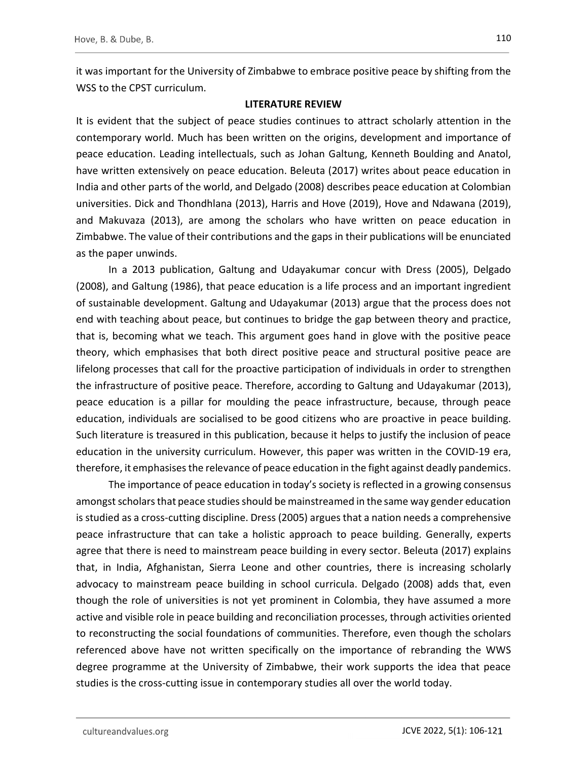it was important for the University of Zimbabwe to embrace positive peace by shifting from the WSS to the CPST curriculum.

### LITERATURE REVIEW

It is evident that the subject of peace studies continues to attract scholarly attention in the contemporary world. Much has been written on the origins, development and importance of peace education. Leading intellectuals, such as Johan Galtung, Kenneth Boulding and Anatol, have written extensively on peace education. Beleuta (2017) writes about peace education in India and other parts of the world, and Delgado (2008) describes peace education at Colombian universities. Dick and Thondhlana (2013), Harris and Hove (2019), Hove and Ndawana (2019), and Makuvaza (2013), are among the scholars who have written on peace education in Zimbabwe. The value of their contributions and the gaps in their publications will be enunciated as the paper unwinds.

In a 2013 publication, Galtung and Udayakumar concur with Dress (2005), Delgado (2008), and Galtung (1986), that peace education is a life process and an important ingredient of sustainable development. Galtung and Udayakumar (2013) argue that the process does not end with teaching about peace, but continues to bridge the gap between theory and practice, that is, becoming what we teach. This argument goes hand in glove with the positive peace theory, which emphasises that both direct positive peace and structural positive peace are lifelong processes that call for the proactive participation of individuals in order to strengthen the infrastructure of positive peace. Therefore, according to Galtung and Udayakumar (2013), peace education is a pillar for moulding the peace infrastructure, because, through peace education, individuals are socialised to be good citizens who are proactive in peace building. Such literature is treasured in this publication, because it helps to justify the inclusion of peace education in the university curriculum. However, this paper was written in the COVID-19 era, therefore, it emphasises the relevance of peace education in the fight against deadly pandemics.

The importance of peace education in today's society is reflected in a growing consensus amongst scholars that peace studies should be mainstreamed in the same way gender education is studied as a cross-cutting discipline. Dress (2005) argues that a nation needs a comprehensive peace infrastructure that can take a holistic approach to peace building. Generally, experts agree that there is need to mainstream peace building in every sector. Beleuta (2017) explains that, in India, Afghanistan, Sierra Leone and other countries, there is increasing scholarly advocacy to mainstream peace building in school curricula. Delgado (2008) adds that, even though the role of universities is not yet prominent in Colombia, they have assumed a more active and visible role in peace building and reconciliation processes, through activities oriented to reconstructing the social foundations of communities. Therefore, even though the scholars referenced above have not written specifically on the importance of rebranding the WWS degree programme at the University of Zimbabwe, their work supports the idea that peace studies is the cross-cutting issue in contemporary studies all over the world today.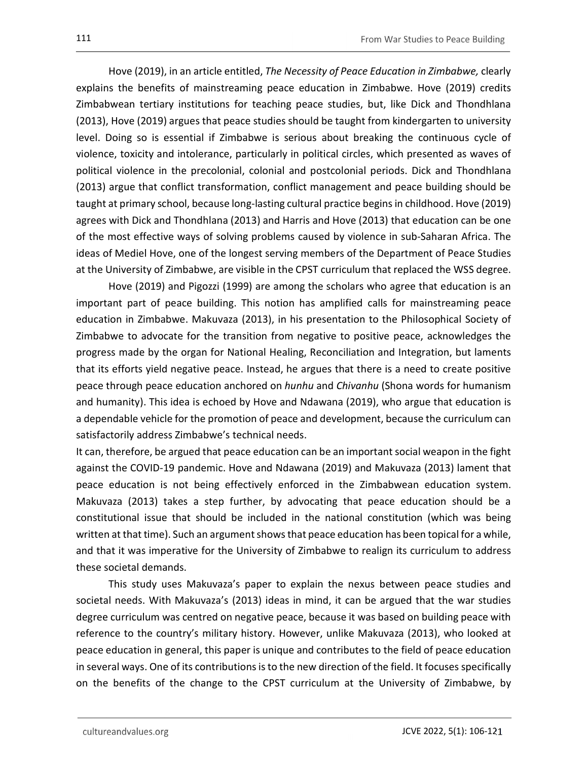Hove (2019), in an article entitled, The Necessity of Peace Education in Zimbabwe, clearly explains the benefits of mainstreaming peace education in Zimbabwe. Hove (2019) credits Zimbabwean tertiary institutions for teaching peace studies, but, like Dick and Thondhlana (2013), Hove (2019) argues that peace studies should be taught from kindergarten to university level. Doing so is essential if Zimbabwe is serious about breaking the continuous cycle of violence, toxicity and intolerance, particularly in political circles, which presented as waves of political violence in the precolonial, colonial and postcolonial periods. Dick and Thondhlana (2013) argue that conflict transformation, conflict management and peace building should be taught at primary school, because long-lasting cultural practice begins in childhood. Hove (2019) agrees with Dick and Thondhlana (2013) and Harris and Hove (2013) that education can be one of the most effective ways of solving problems caused by violence in sub-Saharan Africa. The ideas of Mediel Hove, one of the longest serving members of the Department of Peace Studies at the University of Zimbabwe, are visible in the CPST curriculum that replaced the WSS degree.

Hove (2019) and Pigozzi (1999) are among the scholars who agree that education is an important part of peace building. This notion has amplified calls for mainstreaming peace education in Zimbabwe. Makuvaza (2013), in his presentation to the Philosophical Society of Zimbabwe to advocate for the transition from negative to positive peace, acknowledges the progress made by the organ for National Healing, Reconciliation and Integration, but laments that its efforts yield negative peace. Instead, he argues that there is a need to create positive peace through peace education anchored on hunhu and Chivanhu (Shona words for humanism and humanity). This idea is echoed by Hove and Ndawana (2019), who argue that education is a dependable vehicle for the promotion of peace and development, because the curriculum can satisfactorily address Zimbabwe's technical needs.

It can, therefore, be argued that peace education can be an important social weapon in the fight against the COVID-19 pandemic. Hove and Ndawana (2019) and Makuvaza (2013) lament that peace education is not being effectively enforced in the Zimbabwean education system. Makuvaza (2013) takes a step further, by advocating that peace education should be a constitutional issue that should be included in the national constitution (which was being written at that time). Such an argument shows that peace education has been topical for a while, and that it was imperative for the University of Zimbabwe to realign its curriculum to address these societal demands.

This study uses Makuvaza's paper to explain the nexus between peace studies and societal needs. With Makuvaza's (2013) ideas in mind, it can be argued that the war studies degree curriculum was centred on negative peace, because it was based on building peace with reference to the country's military history. However, unlike Makuvaza (2013), who looked at peace education in general, this paper is unique and contributes to the field of peace education in several ways. One of its contributions is to the new direction of the field. It focuses specifically on the benefits of the change to the CPST curriculum at the University of Zimbabwe, by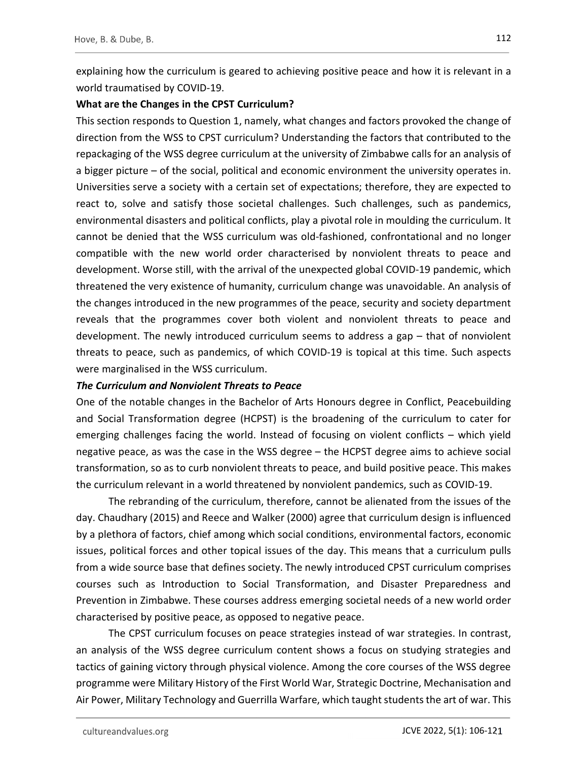explaining how the curriculum is geared to achieving positive peace and how it is relevant in a world traumatised by COVID-19.

## What are the Changes in the CPST Curriculum?

This section responds to Question 1, namely, what changes and factors provoked the change of direction from the WSS to CPST curriculum? Understanding the factors that contributed to the repackaging of the WSS degree curriculum at the university of Zimbabwe calls for an analysis of a bigger picture – of the social, political and economic environment the university operates in. Universities serve a society with a certain set of expectations; therefore, they are expected to react to, solve and satisfy those societal challenges. Such challenges, such as pandemics, environmental disasters and political conflicts, play a pivotal role in moulding the curriculum. It cannot be denied that the WSS curriculum was old-fashioned, confrontational and no longer compatible with the new world order characterised by nonviolent threats to peace and development. Worse still, with the arrival of the unexpected global COVID-19 pandemic, which threatened the very existence of humanity, curriculum change was unavoidable. An analysis of the changes introduced in the new programmes of the peace, security and society department reveals that the programmes cover both violent and nonviolent threats to peace and development. The newly introduced curriculum seems to address a gap – that of nonviolent threats to peace, such as pandemics, of which COVID-19 is topical at this time. Such aspects were marginalised in the WSS curriculum.

## The Curriculum and Nonviolent Threats to Peace

One of the notable changes in the Bachelor of Arts Honours degree in Conflict, Peacebuilding and Social Transformation degree (HCPST) is the broadening of the curriculum to cater for emerging challenges facing the world. Instead of focusing on violent conflicts – which yield negative peace, as was the case in the WSS degree – the HCPST degree aims to achieve social transformation, so as to curb nonviolent threats to peace, and build positive peace. This makes the curriculum relevant in a world threatened by nonviolent pandemics, such as COVID-19.

The rebranding of the curriculum, therefore, cannot be alienated from the issues of the day. Chaudhary (2015) and Reece and Walker (2000) agree that curriculum design is influenced by a plethora of factors, chief among which social conditions, environmental factors, economic issues, political forces and other topical issues of the day. This means that a curriculum pulls from a wide source base that defines society. The newly introduced CPST curriculum comprises courses such as Introduction to Social Transformation, and Disaster Preparedness and Prevention in Zimbabwe. These courses address emerging societal needs of a new world order characterised by positive peace, as opposed to negative peace.

The CPST curriculum focuses on peace strategies instead of war strategies. In contrast, an analysis of the WSS degree curriculum content shows a focus on studying strategies and tactics of gaining victory through physical violence. Among the core courses of the WSS degree programme were Military History of the First World War, Strategic Doctrine, Mechanisation and Air Power, Military Technology and Guerrilla Warfare, which taught students the art of war. This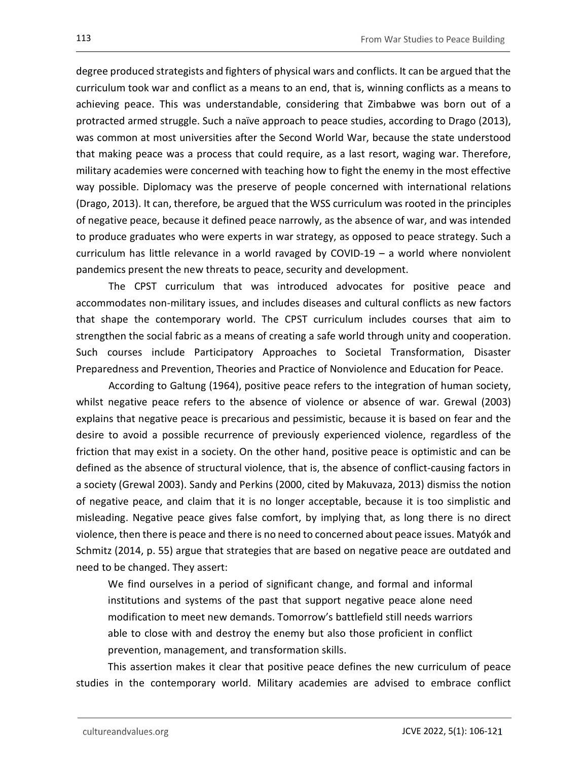degree produced strategists and fighters of physical wars and conflicts. It can be argued that the curriculum took war and conflict as a means to an end, that is, winning conflicts as a means to achieving peace. This was understandable, considering that Zimbabwe was born out of a protracted armed struggle. Such a naïve approach to peace studies, according to Drago (2013), was common at most universities after the Second World War, because the state understood that making peace was a process that could require, as a last resort, waging war. Therefore, military academies were concerned with teaching how to fight the enemy in the most effective way possible. Diplomacy was the preserve of people concerned with international relations (Drago, 2013). It can, therefore, be argued that the WSS curriculum was rooted in the principles of negative peace, because it defined peace narrowly, as the absence of war, and was intended to produce graduates who were experts in war strategy, as opposed to peace strategy. Such a curriculum has little relevance in a world ravaged by COVID-19 – a world where nonviolent pandemics present the new threats to peace, security and development.

The CPST curriculum that was introduced advocates for positive peace and accommodates non-military issues, and includes diseases and cultural conflicts as new factors that shape the contemporary world. The CPST curriculum includes courses that aim to strengthen the social fabric as a means of creating a safe world through unity and cooperation. Such courses include Participatory Approaches to Societal Transformation, Disaster Preparedness and Prevention, Theories and Practice of Nonviolence and Education for Peace.

According to Galtung (1964), positive peace refers to the integration of human society, whilst negative peace refers to the absence of violence or absence of war. Grewal (2003) explains that negative peace is precarious and pessimistic, because it is based on fear and the desire to avoid a possible recurrence of previously experienced violence, regardless of the friction that may exist in a society. On the other hand, positive peace is optimistic and can be defined as the absence of structural violence, that is, the absence of conflict-causing factors in a society (Grewal 2003). Sandy and Perkins (2000, cited by Makuvaza, 2013) dismiss the notion of negative peace, and claim that it is no longer acceptable, because it is too simplistic and misleading. Negative peace gives false comfort, by implying that, as long there is no direct violence, then there is peace and there is no need to concerned about peace issues. Matyók and Schmitz (2014, p. 55) argue that strategies that are based on negative peace are outdated and need to be changed. They assert:

We find ourselves in a period of significant change, and formal and informal institutions and systems of the past that support negative peace alone need modification to meet new demands. Tomorrow's battlefield still needs warriors able to close with and destroy the enemy but also those proficient in conflict prevention, management, and transformation skills.

This assertion makes it clear that positive peace defines the new curriculum of peace studies in the contemporary world. Military academies are advised to embrace conflict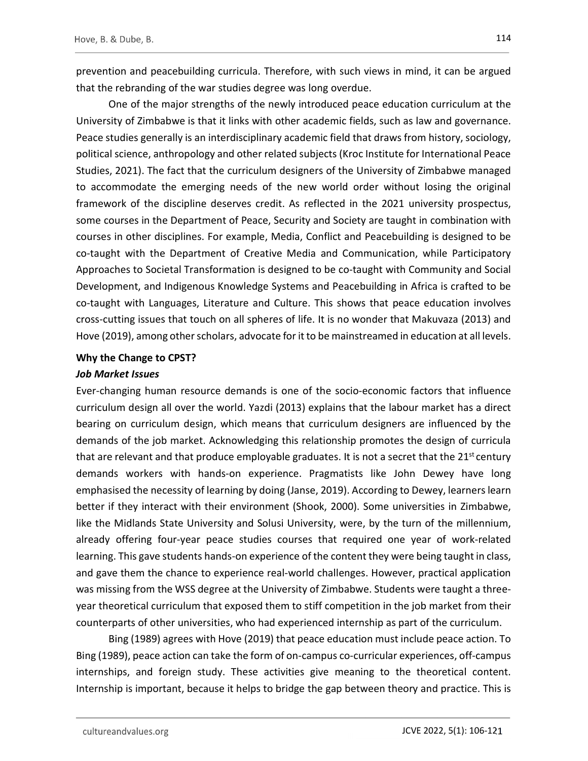prevention and peacebuilding curricula. Therefore, with such views in mind, it can be argued that the rebranding of the war studies degree was long overdue.

One of the major strengths of the newly introduced peace education curriculum at the University of Zimbabwe is that it links with other academic fields, such as law and governance. Peace studies generally is an interdisciplinary academic field that draws from history, sociology, political science, anthropology and other related subjects (Kroc Institute for International Peace Studies, 2021). The fact that the curriculum designers of the University of Zimbabwe managed to accommodate the emerging needs of the new world order without losing the original framework of the discipline deserves credit. As reflected in the 2021 university prospectus, some courses in the Department of Peace, Security and Society are taught in combination with courses in other disciplines. For example, Media, Conflict and Peacebuilding is designed to be co-taught with the Department of Creative Media and Communication, while Participatory Approaches to Societal Transformation is designed to be co-taught with Community and Social Development, and Indigenous Knowledge Systems and Peacebuilding in Africa is crafted to be co-taught with Languages, Literature and Culture. This shows that peace education involves cross-cutting issues that touch on all spheres of life. It is no wonder that Makuvaza (2013) and Hove (2019), among other scholars, advocate for it to be mainstreamed in education at all levels.

## Why the Change to CPST?

### Job Market Issues

Ever-changing human resource demands is one of the socio-economic factors that influence curriculum design all over the world. Yazdi (2013) explains that the labour market has a direct bearing on curriculum design, which means that curriculum designers are influenced by the demands of the job market. Acknowledging this relationship promotes the design of curricula that are relevant and that produce employable graduates. It is not a secret that the  $21^{st}$  century demands workers with hands-on experience. Pragmatists like John Dewey have long emphasised the necessity of learning by doing (Janse, 2019). According to Dewey, learners learn better if they interact with their environment (Shook, 2000). Some universities in Zimbabwe, like the Midlands State University and Solusi University, were, by the turn of the millennium, already offering four-year peace studies courses that required one year of work-related learning. This gave students hands-on experience of the content they were being taught in class, and gave them the chance to experience real-world challenges. However, practical application was missing from the WSS degree at the University of Zimbabwe. Students were taught a threeyear theoretical curriculum that exposed them to stiff competition in the job market from their counterparts of other universities, who had experienced internship as part of the curriculum.

Bing (1989) agrees with Hove (2019) that peace education must include peace action. To Bing (1989), peace action can take the form of on-campus co-curricular experiences, off-campus internships, and foreign study. These activities give meaning to the theoretical content. Internship is important, because it helps to bridge the gap between theory and practice. This is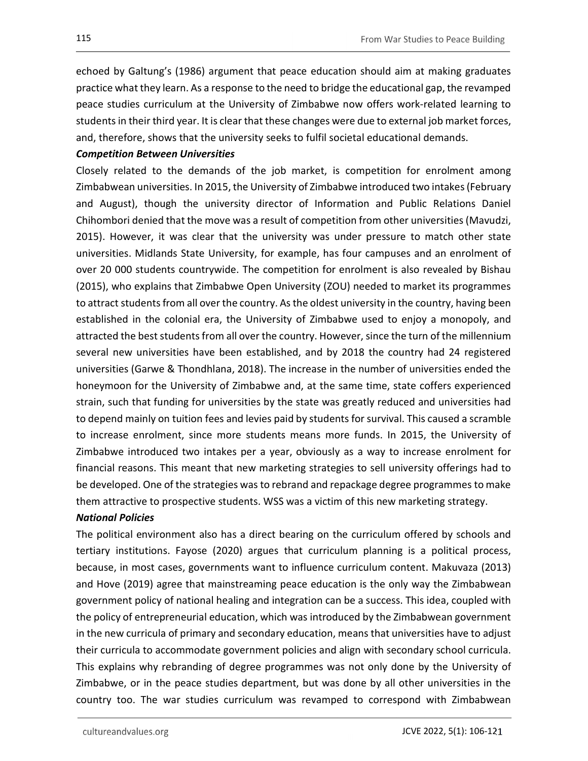echoed by Galtung's (1986) argument that peace education should aim at making graduates practice what they learn. As a response to the need to bridge the educational gap, the revamped peace studies curriculum at the University of Zimbabwe now offers work-related learning to students in their third year. It is clear that these changes were due to external job market forces, and, therefore, shows that the university seeks to fulfil societal educational demands.

## Competition Between Universities

Closely related to the demands of the job market, is competition for enrolment among Zimbabwean universities. In 2015, the University of Zimbabwe introduced two intakes (February and August), though the university director of Information and Public Relations Daniel Chihombori denied that the move was a result of competition from other universities (Mavudzi, 2015). However, it was clear that the university was under pressure to match other state universities. Midlands State University, for example, has four campuses and an enrolment of over 20 000 students countrywide. The competition for enrolment is also revealed by Bishau (2015), who explains that Zimbabwe Open University (ZOU) needed to market its programmes to attract students from all over the country. As the oldest university in the country, having been established in the colonial era, the University of Zimbabwe used to enjoy a monopoly, and attracted the best students from all over the country. However, since the turn of the millennium several new universities have been established, and by 2018 the country had 24 registered universities (Garwe & Thondhlana, 2018). The increase in the number of universities ended the honeymoon for the University of Zimbabwe and, at the same time, state coffers experienced strain, such that funding for universities by the state was greatly reduced and universities had to depend mainly on tuition fees and levies paid by students for survival. This caused a scramble to increase enrolment, since more students means more funds. In 2015, the University of Zimbabwe introduced two intakes per a year, obviously as a way to increase enrolment for financial reasons. This meant that new marketing strategies to sell university offerings had to be developed. One of the strategies was to rebrand and repackage degree programmes to make them attractive to prospective students. WSS was a victim of this new marketing strategy.

#### National Policies

The political environment also has a direct bearing on the curriculum offered by schools and tertiary institutions. Fayose (2020) argues that curriculum planning is a political process, because, in most cases, governments want to influence curriculum content. Makuvaza (2013) and Hove (2019) agree that mainstreaming peace education is the only way the Zimbabwean government policy of national healing and integration can be a success. This idea, coupled with the policy of entrepreneurial education, which was introduced by the Zimbabwean government in the new curricula of primary and secondary education, means that universities have to adjust their curricula to accommodate government policies and align with secondary school curricula. This explains why rebranding of degree programmes was not only done by the University of Zimbabwe, or in the peace studies department, but was done by all other universities in the country too. The war studies curriculum was revamped to correspond with Zimbabwean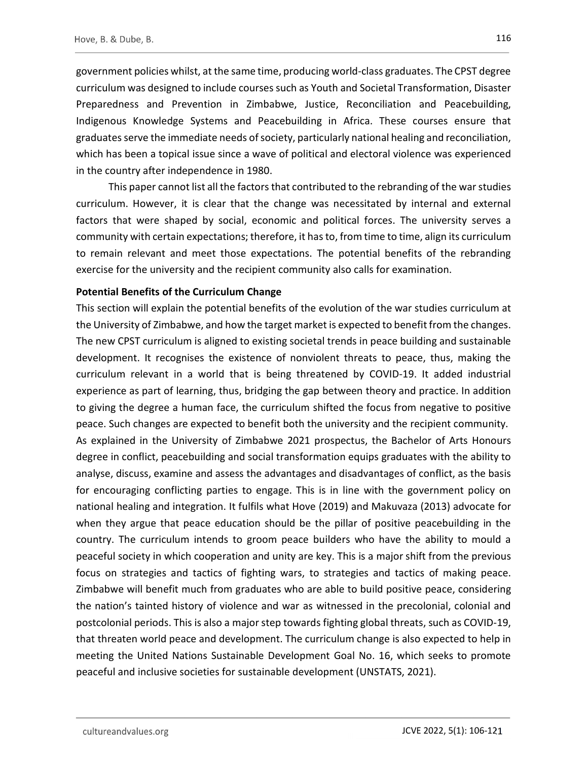government policies whilst, at the same time, producing world-class graduates. The CPST degree curriculum was designed to include courses such as Youth and Societal Transformation, Disaster Preparedness and Prevention in Zimbabwe, Justice, Reconciliation and Peacebuilding, Indigenous Knowledge Systems and Peacebuilding in Africa. These courses ensure that graduates serve the immediate needs of society, particularly national healing and reconciliation, which has been a topical issue since a wave of political and electoral violence was experienced in the country after independence in 1980.

This paper cannot list all the factors that contributed to the rebranding of the war studies curriculum. However, it is clear that the change was necessitated by internal and external factors that were shaped by social, economic and political forces. The university serves a community with certain expectations; therefore, it has to, from time to time, align its curriculum to remain relevant and meet those expectations. The potential benefits of the rebranding exercise for the university and the recipient community also calls for examination.

## Potential Benefits of the Curriculum Change

This section will explain the potential benefits of the evolution of the war studies curriculum at the University of Zimbabwe, and how the target market is expected to benefit from the changes. The new CPST curriculum is aligned to existing societal trends in peace building and sustainable development. It recognises the existence of nonviolent threats to peace, thus, making the curriculum relevant in a world that is being threatened by COVID-19. It added industrial experience as part of learning, thus, bridging the gap between theory and practice. In addition to giving the degree a human face, the curriculum shifted the focus from negative to positive peace. Such changes are expected to benefit both the university and the recipient community. As explained in the University of Zimbabwe 2021 prospectus, the Bachelor of Arts Honours degree in conflict, peacebuilding and social transformation equips graduates with the ability to analyse, discuss, examine and assess the advantages and disadvantages of conflict, as the basis for encouraging conflicting parties to engage. This is in line with the government policy on national healing and integration. It fulfils what Hove (2019) and Makuvaza (2013) advocate for when they argue that peace education should be the pillar of positive peacebuilding in the country. The curriculum intends to groom peace builders who have the ability to mould a peaceful society in which cooperation and unity are key. This is a major shift from the previous focus on strategies and tactics of fighting wars, to strategies and tactics of making peace. Zimbabwe will benefit much from graduates who are able to build positive peace, considering the nation's tainted history of violence and war as witnessed in the precolonial, colonial and postcolonial periods. This is also a major step towards fighting global threats, such as COVID-19, that threaten world peace and development. The curriculum change is also expected to help in meeting the United Nations Sustainable Development Goal No. 16, which seeks to promote peaceful and inclusive societies for sustainable development (UNSTATS, 2021).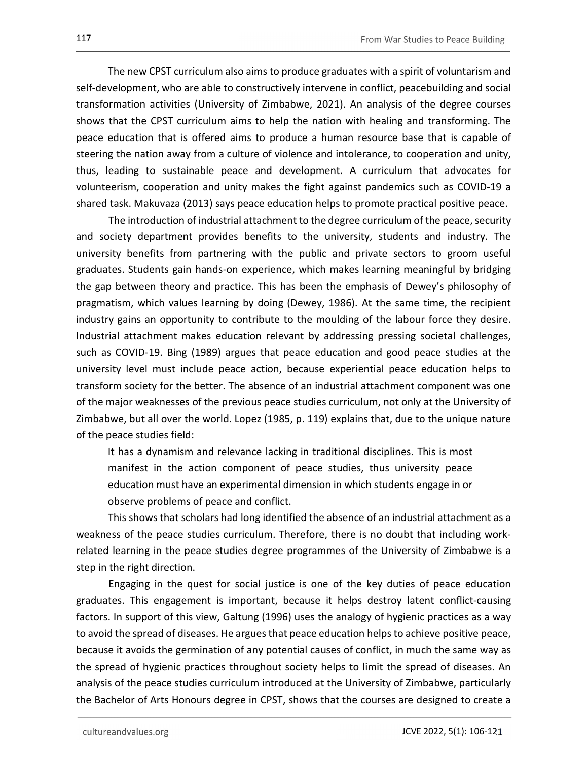The new CPST curriculum also aims to produce graduates with a spirit of voluntarism and self-development, who are able to constructively intervene in conflict, peacebuilding and social transformation activities (University of Zimbabwe, 2021). An analysis of the degree courses shows that the CPST curriculum aims to help the nation with healing and transforming. The peace education that is offered aims to produce a human resource base that is capable of steering the nation away from a culture of violence and intolerance, to cooperation and unity, thus, leading to sustainable peace and development. A curriculum that advocates for volunteerism, cooperation and unity makes the fight against pandemics such as COVID-19 a shared task. Makuvaza (2013) says peace education helps to promote practical positive peace.

The introduction of industrial attachment to the degree curriculum of the peace, security and society department provides benefits to the university, students and industry. The university benefits from partnering with the public and private sectors to groom useful graduates. Students gain hands-on experience, which makes learning meaningful by bridging the gap between theory and practice. This has been the emphasis of Dewey's philosophy of pragmatism, which values learning by doing (Dewey, 1986). At the same time, the recipient industry gains an opportunity to contribute to the moulding of the labour force they desire. Industrial attachment makes education relevant by addressing pressing societal challenges, such as COVID-19. Bing (1989) argues that peace education and good peace studies at the university level must include peace action, because experiential peace education helps to transform society for the better. The absence of an industrial attachment component was one of the major weaknesses of the previous peace studies curriculum, not only at the University of Zimbabwe, but all over the world. Lopez (1985, p. 119) explains that, due to the unique nature of the peace studies field:

It has a dynamism and relevance lacking in traditional disciplines. This is most manifest in the action component of peace studies, thus university peace education must have an experimental dimension in which students engage in or observe problems of peace and conflict.

This shows that scholars had long identified the absence of an industrial attachment as a weakness of the peace studies curriculum. Therefore, there is no doubt that including workrelated learning in the peace studies degree programmes of the University of Zimbabwe is a step in the right direction.

Engaging in the quest for social justice is one of the key duties of peace education graduates. This engagement is important, because it helps destroy latent conflict-causing factors. In support of this view, Galtung (1996) uses the analogy of hygienic practices as a way to avoid the spread of diseases. He argues that peace education helps to achieve positive peace, because it avoids the germination of any potential causes of conflict, in much the same way as the spread of hygienic practices throughout society helps to limit the spread of diseases. An analysis of the peace studies curriculum introduced at the University of Zimbabwe, particularly the Bachelor of Arts Honours degree in CPST, shows that the courses are designed to create a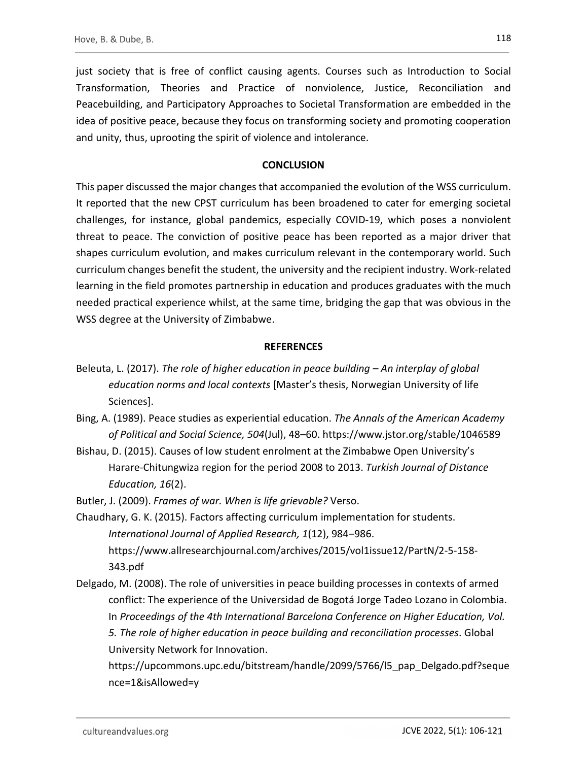just society that is free of conflict causing agents. Courses such as Introduction to Social Transformation, Theories and Practice of nonviolence, Justice, Reconciliation and Peacebuilding, and Participatory Approaches to Societal Transformation are embedded in the idea of positive peace, because they focus on transforming society and promoting cooperation and unity, thus, uprooting the spirit of violence and intolerance.

## **CONCLUSION**

This paper discussed the major changes that accompanied the evolution of the WSS curriculum. It reported that the new CPST curriculum has been broadened to cater for emerging societal challenges, for instance, global pandemics, especially COVID-19, which poses a nonviolent threat to peace. The conviction of positive peace has been reported as a major driver that shapes curriculum evolution, and makes curriculum relevant in the contemporary world. Such curriculum changes benefit the student, the university and the recipient industry. Work-related learning in the field promotes partnership in education and produces graduates with the much needed practical experience whilst, at the same time, bridging the gap that was obvious in the WSS degree at the University of Zimbabwe.

## **REFERENCES**

- Beleuta, L. (2017). The role of higher education in peace building An interplay of global education norms and local contexts [Master's thesis, Norwegian University of life Sciences].
- Bing, A. (1989). Peace studies as experiential education. The Annals of the American Academy of Political and Social Science, 504(Jul), 48–60. https://www.jstor.org/stable/1046589
- Bishau, D. (2015). Causes of low student enrolment at the Zimbabwe Open University's Harare-Chitungwiza region for the period 2008 to 2013. Turkish Journal of Distance Education, 16(2).

Butler, J. (2009). Frames of war. When is life grievable? Verso.

- Chaudhary, G. K. (2015). Factors affecting curriculum implementation for students. International Journal of Applied Research, 1(12), 984–986. https://www.allresearchjournal.com/archives/2015/vol1issue12/PartN/2-5-158- 343.pdf
- Delgado, M. (2008). The role of universities in peace building processes in contexts of armed conflict: The experience of the Universidad de Bogotá Jorge Tadeo Lozano in Colombia. In Proceedings of the 4th International Barcelona Conference on Higher Education, Vol. 5. The role of higher education in peace building and reconciliation processes. Global University Network for Innovation.

https://upcommons.upc.edu/bitstream/handle/2099/5766/l5\_pap\_Delgado.pdf?seque nce=1&isAllowed=y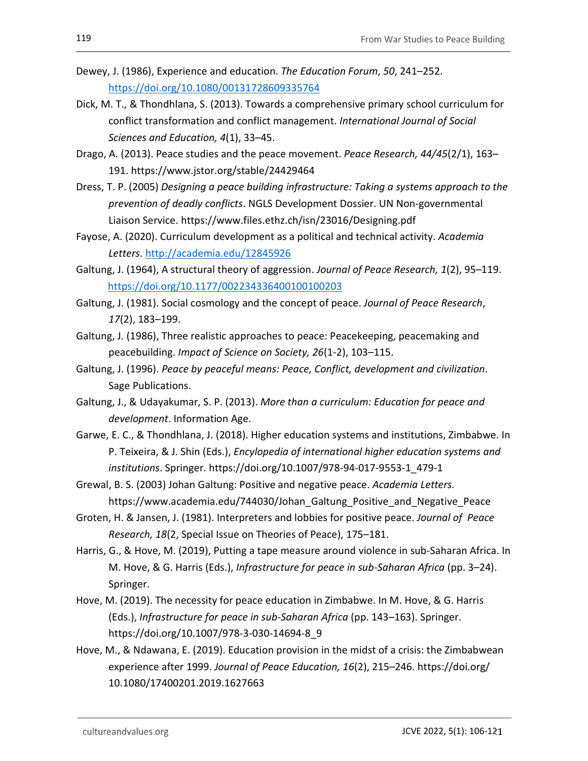- Dewey, J. (1986), Experience and education. The Education Forum, 50, 241–252. https://doi.org/10.1080/00131728609335764
- Dick, M. T., & Thondhlana, S. (2013). Towards a comprehensive primary school curriculum for conflict transformation and conflict management. International Journal of Social Sciences and Education, 4(1), 33–45.
- Drago, A. (2013). Peace studies and the peace movement. Peace Research, 44/45(2/1), 163– 191. https://www.jstor.org/stable/24429464
- Dress, T. P. (2005) Designing a peace building infrastructure: Taking a systems approach to the prevention of deadly conflicts. NGLS Development Dossier. UN Non-governmental Liaison Service. https://www.files.ethz.ch/isn/23016/Designing.pdf
- Fayose, A. (2020). Curriculum development as a political and technical activity. Academia Letters. http://academia.edu/12845926<br>Galtung, J. (1964), A structural theory of aggression. Journal of Peace Research, 1(2), 95–119.
- https://doi.org/10.1177/002234336400100100203 Galtung, J. (1981). Social cosmology and the concept of peace. Journal of Peace Research,
- 17(2), 183–199.
- Galtung, J. (1986), Three realistic approaches to peace: Peacekeeping, peacemaking and peacebuilding. Impact of Science on Society, 26(1-2), 103–115.
- Galtung, J. (1996). Peace by peaceful means: Peace, Conflict, development and civilization.<br>Sage Publications.
- Galtung, J., & Udayakumar, S. P. (2013). More than a curriculum: Education for peace and development. Information Age.
- Garwe, E. C., & Thondhlana, J. (2018). Higher education systems and institutions, Zimbabwe. In P. Teixeira, & J. Shin (Eds.), Encylopedia of international higher education systems and institutions. Springer. https://doi.org/10.1007/978-94-017-9553-1\_479-1
- Grewal, B. S. (2003) Johan Galtung: Positive and negative peace. Academia Letters. https://www.academia.edu/744030/Johan\_Galtung\_Positive\_and\_Negative\_Peace
- Groten, H. & Jansen, J. (1981). Interpreters and lobbies for positive peace. Journal of Peace Research, 18(2, Special Issue on Theories of Peace), 175–181.
- Harris, G., & Hove, M. (2019), Putting a tape measure around violence in sub-Saharan Africa. In M. Hove, & G. Harris (Eds.), Infrastructure for peace in sub-Saharan Africa (pp. 3–24). Springer.
- Hove, M. (2019). The necessity for peace education in Zimbabwe. In M. Hove, & G. Harris (Eds.), Infrastructure for peace in sub-Saharan Africa (pp. 143–163). Springer. https://doi.org/10.1007/978-3-030-14694-8\_9
- Hove, M., & Ndawana, E. (2019). Education provision in the midst of a crisis: the Zimbabwean experience after 1999. Journal of Peace Education, 16(2), 215–246. https://doi.org/ 10.1080/17400201.2019.1627663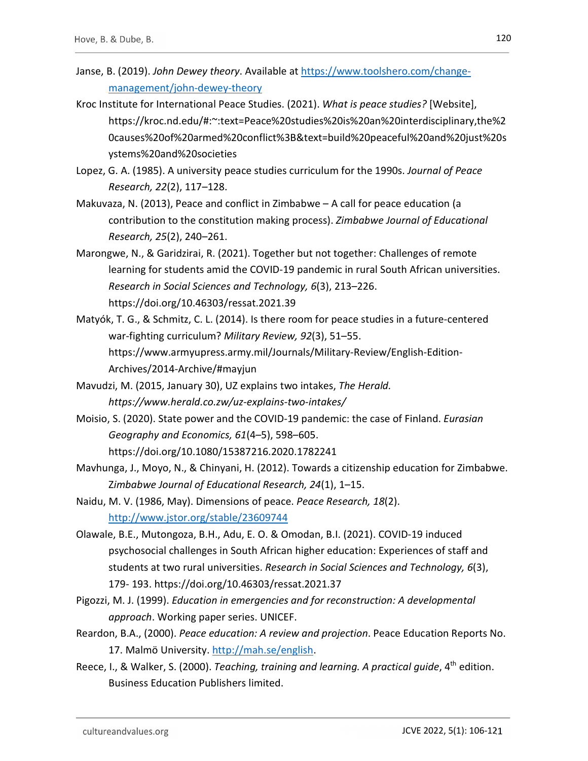- Janse, B. (2019). John Dewey theory. Available at https://www.toolshero.com/changemanagement/john-dewey-theory
- Kroc Institute for International Peace Studies. (2021). What is peace studies? [Website], https://kroc.nd.edu/#:~:text=Peace%20studies%20is%20an%20interdisciplinary,the%2 0causes%20of%20armed%20conflict%3B&text=build%20peaceful%20and%20just%20s ystems%20and%20societies
- Lopez, G. A. (1985). A university peace studies curriculum for the 1990s. Journal of Peace Research, 22(2), 117–128.
- Makuvaza, N. (2013), Peace and conflict in Zimbabwe A call for peace education (a contribution to the constitution making process). Zimbabwe Journal of Educational Research, 25(2), 240–261.
- Marongwe, N., & Garidzirai, R. (2021). Together but not together: Challenges of remote learning for students amid the COVID-19 pandemic in rural South African universities. Research in Social Sciences and Technology, 6(3), 213–226. https://doi.org/10.46303/ressat.2021.39
- Matyók, T. G., & Schmitz, C. L. (2014). Is there room for peace studies in a future-centered war-fighting curriculum? Military Review, 92(3), 51–55. https://www.armyupress.army.mil/Journals/Military-Review/English-Edition-Archives/2014-Archive/#mayjun
- Mavudzi, M. (2015, January 30), UZ explains two intakes, The Herald. https://www.herald.co.zw/uz-explains-two-intakes/
- Moisio, S. (2020). State power and the COVID-19 pandemic: the case of Finland. Eurasian Geography and Economics, 61(4–5), 598–605. https://doi.org/10.1080/15387216.2020.1782241
- Mavhunga, J., Moyo, N., & Chinyani, H. (2012). Towards a citizenship education for Zimbabwe. Zimbabwe Journal of Educational Research, 24(1), 1–15.
- Naidu, M. V. (1986, May). Dimensions of peace. Peace Research, 18(2). http://www.jstor.org/stable/23609744 Olawale, B.E., Mutongoza, B.H., Adu, E. O. & Omodan, B.I. (2021). COVID-19 induced
- psychosocial challenges in South African higher education: Experiences of staff and students at two rural universities. Research in Social Sciences and Technology, 6(3), 179- 193. https://doi.org/10.46303/ressat.2021.37
- Pigozzi, M. J. (1999). Education in emergencies and for reconstruction: A developmental approach. Working paper series. UNICEF.
- Reardon, B.A., (2000). Peace education: A review and projection. Peace Education Reports No. 17. Malmö University. http://mah.se/english.<br>Reece, I., & Walker, S. (2000). Teaching, training and learning. A practical guide, 4<sup>th</sup> edition.
- Business Education Publishers limited.